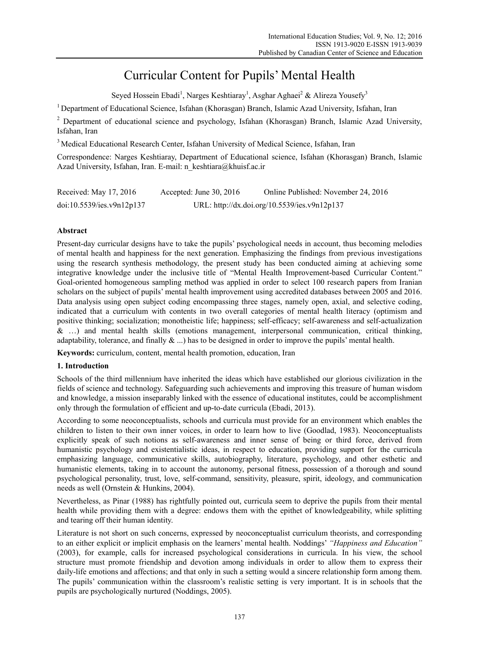# Curricular Content for Pupils' Mental Health

Seyed Hossein Ebadi<sup>1</sup>, Narges Keshtiaray<sup>1</sup>, Asghar Aghaei<sup>2</sup> & Alireza Yousefy<sup>3</sup>

<sup>1</sup> Department of Educational Science, Isfahan (Khorasgan) Branch, Islamic Azad University, Isfahan, Iran

<sup>2</sup> Department of educational science and psychology, Isfahan (Khorasgan) Branch, Islamic Azad University, Isfahan, Iran

<sup>3</sup> Medical Educational Research Center, Isfahan University of Medical Science, Isfahan, Iran

Correspondence: Narges Keshtiaray, Department of Educational science, Isfahan (Khorasgan) Branch, Islamic Azad University, Isfahan, Iran. E-mail: n\_keshtiara@khuisf.ac.ir

| Received: May 17, 2016    | Accepted: June 30, $2016$                    | Online Published: November 24, 2016 |
|---------------------------|----------------------------------------------|-------------------------------------|
| doi:10.5539/ies.v9n12p137 | URL: http://dx.doi.org/10.5539/ies.v9n12p137 |                                     |

# **Abstract**

Present-day curricular designs have to take the pupils' psychological needs in account, thus becoming melodies of mental health and happiness for the next generation. Emphasizing the findings from previous investigations using the research synthesis methodology, the present study has been conducted aiming at achieving some integrative knowledge under the inclusive title of "Mental Health Improvement-based Curricular Content." Goal-oriented homogeneous sampling method was applied in order to select 100 research papers from Iranian scholars on the subject of pupils' mental health improvement using accredited databases between 2005 and 2016. Data analysis using open subject coding encompassing three stages, namely open, axial, and selective coding, indicated that a curriculum with contents in two overall categories of mental health literacy (optimism and positive thinking; socialization; monotheistic life; happiness; self-efficacy; self-awareness and self-actualization & …) and mental health skills (emotions management, interpersonal communication, critical thinking, adaptability, tolerance, and finally  $\&$  ...) has to be designed in order to improve the pupils' mental health.

**Keywords:** curriculum, content, mental health promotion, education, Iran

# **1. Introduction**

Schools of the third millennium have inherited the ideas which have established our glorious civilization in the fields of science and technology. Safeguarding such achievements and improving this treasure of human wisdom and knowledge, a mission inseparably linked with the essence of educational institutes, could be accomplishment only through the formulation of efficient and up-to-date curricula (Ebadi, 2013).

According to some neoconceptualists, schools and curricula must provide for an environment which enables the children to listen to their own inner voices, in order to learn how to live (Goodlad, 1983). Neoconceptualists explicitly speak of such notions as self-awareness and inner sense of being or third force, derived from humanistic psychology and existentialistic ideas, in respect to education, providing support for the curricula emphasizing language, communicative skills, autobiography, literature, psychology, and other esthetic and humanistic elements, taking in to account the autonomy, personal fitness, possession of a thorough and sound psychological personality, trust, love, self-command, sensitivity, pleasure, spirit, ideology, and communication needs as well (Ornstein & Hunkins, 2004).

Nevertheless, as Pinar (1988) has rightfully pointed out, curricula seem to deprive the pupils from their mental health while providing them with a degree: endows them with the epithet of knowledgeability, while splitting and tearing off their human identity.

Literature is not short on such concerns, expressed by neoconceptualist curriculum theorists, and corresponding to an either explicit or implicit emphasis on the learners' mental health. Noddings' *"Happiness and Education"*  (2003), for example, calls for increased psychological considerations in curricula. In his view, the school structure must promote friendship and devotion among individuals in order to allow them to express their daily-life emotions and affections; and that only in such a setting would a sincere relationship form among them. The pupils' communication within the classroom's realistic setting is very important. It is in schools that the pupils are psychologically nurtured (Noddings, 2005).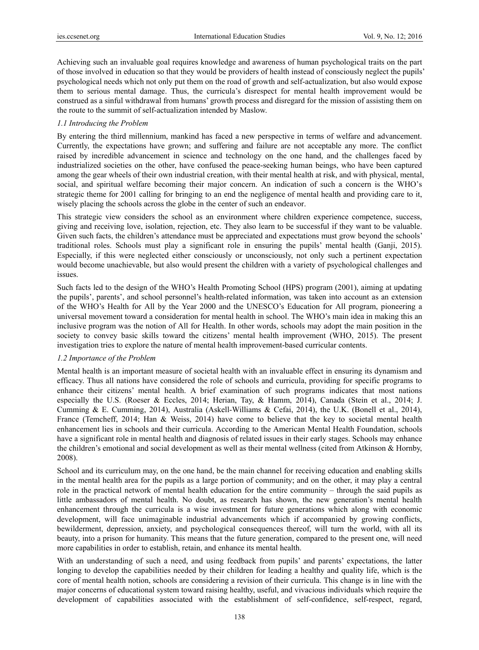Achieving such an invaluable goal requires knowledge and awareness of human psychological traits on the part of those involved in education so that they would be providers of health instead of consciously neglect the pupils' psychological needs which not only put them on the road of growth and self-actualization, but also would expose them to serious mental damage. Thus, the curricula's disrespect for mental health improvement would be construed as a sinful withdrawal from humans' growth process and disregard for the mission of assisting them on the route to the summit of self-actualization intended by Maslow.

## *1.1 Introducing the Problem*

By entering the third millennium, mankind has faced a new perspective in terms of welfare and advancement. Currently, the expectations have grown; and suffering and failure are not acceptable any more. The conflict raised by incredible advancement in science and technology on the one hand, and the challenges faced by industrialized societies on the other, have confused the peace-seeking human beings, who have been captured among the gear wheels of their own industrial creation, with their mental health at risk, and with physical, mental, social, and spiritual welfare becoming their major concern. An indication of such a concern is the WHO's strategic theme for 2001 calling for bringing to an end the negligence of mental health and providing care to it, wisely placing the schools across the globe in the center of such an endeavor.

This strategic view considers the school as an environment where children experience competence, success, giving and receiving love, isolation, rejection, etc. They also learn to be successful if they want to be valuable. Given such facts, the children's attendance must be appreciated and expectations must grow beyond the schools' traditional roles. Schools must play a significant role in ensuring the pupils' mental health (Ganji, 2015). Especially, if this were neglected either consciously or unconsciously, not only such a pertinent expectation would become unachievable, but also would present the children with a variety of psychological challenges and issues.

Such facts led to the design of the WHO's Health Promoting School (HPS) program (2001), aiming at updating the pupils', parents', and school personnel's health-related information, was taken into account as an extension of the WHO's Health for All by the Year 2000 and the UNESCO's Education for All program, pioneering a universal movement toward a consideration for mental health in school. The WHO's main idea in making this an inclusive program was the notion of All for Health. In other words, schools may adopt the main position in the society to convey basic skills toward the citizens' mental health improvement (WHO, 2015). The present investigation tries to explore the nature of mental health improvement-based curricular contents.

#### *1.2 Importance of the Problem*

Mental health is an important measure of societal health with an invaluable effect in ensuring its dynamism and efficacy. Thus all nations have considered the role of schools and curricula, providing for specific programs to enhance their citizens' mental health. A brief examination of such programs indicates that most nations especially the U.S. (Roeser & Eccles, 2014; Herian, Tay, & Hamm, 2014), Canada (Stein et al., 2014; J. Cumming & E. Cumming, 2014), Australia (Askell-Williams & Cefai, 2014), the U.K. (Bonell et al., 2014), France (Temcheff, 2014; Han & Weiss, 2014) have come to believe that the key to societal mental health enhancement lies in schools and their curricula. According to the American Mental Health Foundation, schools have a significant role in mental health and diagnosis of related issues in their early stages. Schools may enhance the children's emotional and social development as well as their mental wellness (cited from Atkinson & Hornby, 2008).

School and its curriculum may, on the one hand, be the main channel for receiving education and enabling skills in the mental health area for the pupils as a large portion of community; and on the other, it may play a central role in the practical network of mental health education for the entire community – through the said pupils as little ambassadors of mental health. No doubt, as research has shown, the new generation's mental health enhancement through the curricula is a wise investment for future generations which along with economic development, will face unimaginable industrial advancements which if accompanied by growing conflicts, bewilderment, depression, anxiety, and psychological consequences thereof, will turn the world, with all its beauty, into a prison for humanity. This means that the future generation, compared to the present one, will need more capabilities in order to establish, retain, and enhance its mental health.

With an understanding of such a need, and using feedback from pupils' and parents' expectations, the latter longing to develop the capabilities needed by their children for leading a healthy and quality life, which is the core of mental health notion, schools are considering a revision of their curricula. This change is in line with the major concerns of educational system toward raising healthy, useful, and vivacious individuals which require the development of capabilities associated with the establishment of self-confidence, self-respect, regard,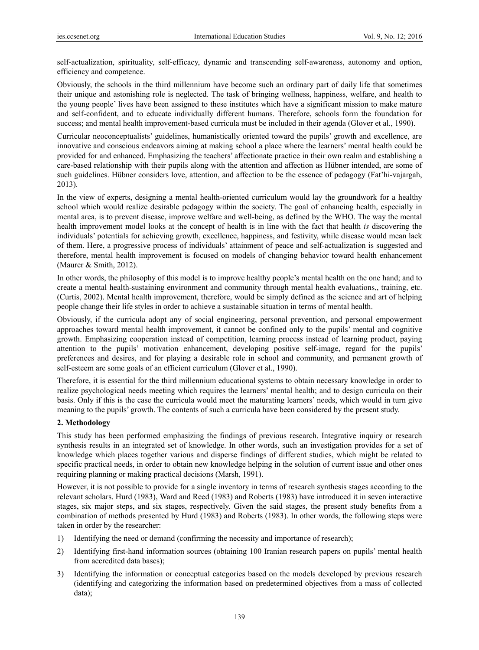self-actualization, spirituality, self-efficacy, dynamic and transcending self-awareness, autonomy and option, efficiency and competence.

Obviously, the schools in the third millennium have become such an ordinary part of daily life that sometimes their unique and astonishing role is neglected. The task of bringing wellness, happiness, welfare, and health to the young people' lives have been assigned to these institutes which have a significant mission to make mature and self-confident, and to educate individually different humans. Therefore, schools form the foundation for success; and mental health improvement-based curricula must be included in their agenda (Glover et al., 1990).

Curricular neoconceptualists' guidelines, humanistically oriented toward the pupils' growth and excellence, are innovative and conscious endeavors aiming at making school a place where the learners' mental health could be provided for and enhanced. Emphasizing the teachers' affectionate practice in their own realm and establishing a care-based relationship with their pupils along with the attention and affection as Hübner intended, are some of such guidelines. Hübner considers love, attention, and affection to be the essence of pedagogy (Fat'hi-vajargah, 2013).

In the view of experts, designing a mental health-oriented curriculum would lay the groundwork for a healthy school which would realize desirable pedagogy within the society. The goal of enhancing health, especially in mental area, is to prevent disease, improve welfare and well-being, as defined by the WHO. The way the mental health improvement model looks at the concept of health is in line with the fact that health *is* discovering the individuals' potentials for achieving growth, excellence, happiness, and festivity, while disease would mean lack of them. Here, a progressive process of individuals' attainment of peace and self-actualization is suggested and therefore, mental health improvement is focused on models of changing behavior toward health enhancement (Maurer & Smith, 2012).

In other words, the philosophy of this model is to improve healthy people's mental health on the one hand; and to create a mental health-sustaining environment and community through mental health evaluations,, training, etc. (Curtis, 2002). Mental health improvement, therefore, would be simply defined as the science and art of helping people change their life styles in order to achieve a sustainable situation in terms of mental health.

Obviously, if the curricula adopt any of social engineering, personal prevention, and personal empowerment approaches toward mental health improvement, it cannot be confined only to the pupils' mental and cognitive growth. Emphasizing cooperation instead of competition, learning process instead of learning product, paying attention to the pupils' motivation enhancement, developing positive self-image, regard for the pupils' preferences and desires, and for playing a desirable role in school and community, and permanent growth of self-esteem are some goals of an efficient curriculum (Glover et al., 1990).

Therefore, it is essential for the third millennium educational systems to obtain necessary knowledge in order to realize psychological needs meeting which requires the learners' mental health; and to design curricula on their basis. Only if this is the case the curricula would meet the maturating learners' needs, which would in turn give meaning to the pupils' growth. The contents of such a curricula have been considered by the present study.

## **2. Methodology**

This study has been performed emphasizing the findings of previous research. Integrative inquiry or research synthesis results in an integrated set of knowledge. In other words, such an investigation provides for a set of knowledge which places together various and disperse findings of different studies, which might be related to specific practical needs, in order to obtain new knowledge helping in the solution of current issue and other ones requiring planning or making practical decisions (Marsh, 1991).

However, it is not possible to provide for a single inventory in terms of research synthesis stages according to the relevant scholars. Hurd (1983), Ward and Reed (1983) and Roberts (1983) have introduced it in seven interactive stages, six major steps, and six stages, respectively. Given the said stages, the present study benefits from a combination of methods presented by Hurd (1983) and Roberts (1983). In other words, the following steps were taken in order by the researcher:

- 1) Identifying the need or demand (confirming the necessity and importance of research);
- 2) Identifying first-hand information sources (obtaining 100 Iranian research papers on pupils' mental health from accredited data bases);
- 3) Identifying the information or conceptual categories based on the models developed by previous research (identifying and categorizing the information based on predetermined objectives from a mass of collected data);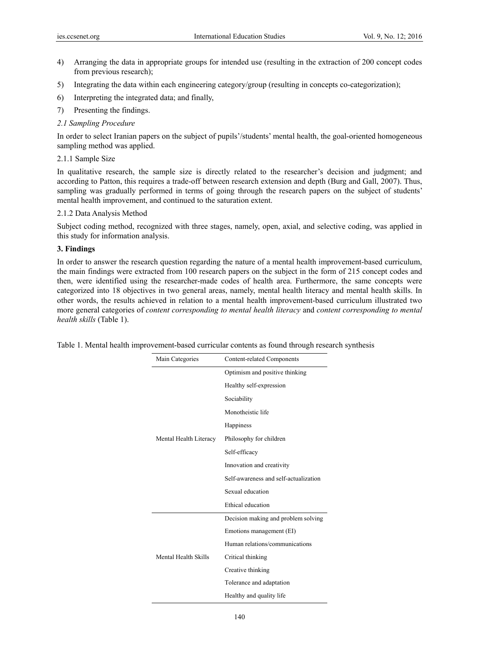- 4) Arranging the data in appropriate groups for intended use (resulting in the extraction of 200 concept codes from previous research);
- 5) Integrating the data within each engineering category/group (resulting in concepts co-categorization);
- 6) Interpreting the integrated data; and finally,
- 7) Presenting the findings.

## *2.1 Sampling Procedure*

In order to select Iranian papers on the subject of pupils'/students' mental health, the goal-oriented homogeneous sampling method was applied.

## 2.1.1 Sample Size

In qualitative research, the sample size is directly related to the researcher's decision and judgment; and according to Patton, this requires a trade-off between research extension and depth (Burg and Gall, 2007). Thus, sampling was gradually performed in terms of going through the research papers on the subject of students' mental health improvement, and continued to the saturation extent.

#### 2.1.2 Data Analysis Method

Subject coding method, recognized with three stages, namely, open, axial, and selective coding, was applied in this study for information analysis.

#### **3. Findings**

In order to answer the research question regarding the nature of a mental health improvement-based curriculum, the main findings were extracted from 100 research papers on the subject in the form of 215 concept codes and then, were identified using the researcher-made codes of health area. Furthermore, the same concepts were categorized into 18 objectives in two general areas, namely, mental health literacy and mental health skills. In other words, the results achieved in relation to a mental health improvement-based curriculum illustrated two more general categories of *content corresponding to mental health literacy* and *content corresponding to mental health skills* (Table 1).

| Main Categories        | Content-related Components            |  |
|------------------------|---------------------------------------|--|
|                        | Optimism and positive thinking        |  |
|                        | Healthy self-expression               |  |
|                        | Sociability                           |  |
|                        | Monotheistic life                     |  |
|                        | Happiness                             |  |
| Mental Health Literacy | Philosophy for children               |  |
|                        | Self-efficacy                         |  |
|                        | Innovation and creativity             |  |
|                        | Self-awareness and self-actualization |  |
|                        | Sexual education                      |  |
|                        | Ethical education                     |  |
|                        | Decision making and problem solving   |  |
|                        | Emotions management (EI)              |  |
|                        | Human relations/communications        |  |
| Mental Health Skills   | Critical thinking                     |  |
|                        | Creative thinking                     |  |
|                        | Tolerance and adaptation              |  |
|                        | Healthy and quality life.             |  |

Table 1. Mental health improvement-based curricular contents as found through research synthesis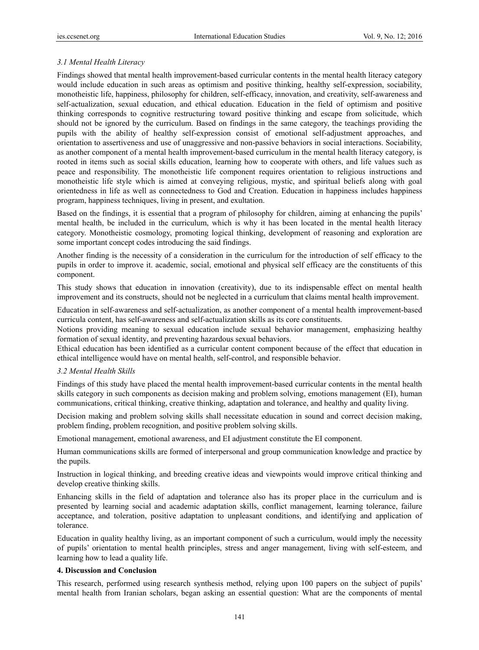#### *3.1 Mental Health Literacy*

Findings showed that mental health improvement-based curricular contents in the mental health literacy category would include education in such areas as optimism and positive thinking, healthy self-expression, sociability, monotheistic life, happiness, philosophy for children, self-efficacy, innovation, and creativity, self-awareness and self-actualization, sexual education, and ethical education. Education in the field of optimism and positive thinking corresponds to cognitive restructuring toward positive thinking and escape from solicitude, which should not be ignored by the curriculum. Based on findings in the same category, the teachings providing the pupils with the ability of healthy self-expression consist of emotional self-adjustment approaches, and orientation to assertiveness and use of unaggressive and non-passive behaviors in social interactions. Sociability, as another component of a mental health improvement-based curriculum in the mental health literacy category, is rooted in items such as social skills education, learning how to cooperate with others, and life values such as peace and responsibility. The monotheistic life component requires orientation to religious instructions and monotheistic life style which is aimed at conveying religious, mystic, and spiritual beliefs along with goal orientedness in life as well as connectedness to God and Creation. Education in happiness includes happiness program, happiness techniques, living in present, and exultation.

Based on the findings, it is essential that a program of philosophy for children, aiming at enhancing the pupils' mental health, be included in the curriculum, which is why it has been located in the mental health literacy category. Monotheistic cosmology, promoting logical thinking, development of reasoning and exploration are some important concept codes introducing the said findings.

Another finding is the necessity of a consideration in the curriculum for the introduction of self efficacy to the pupils in order to improve it. academic, social, emotional and physical self efficacy are the constituents of this component.

This study shows that education in innovation (creativity), due to its indispensable effect on mental health improvement and its constructs, should not be neglected in a curriculum that claims mental health improvement.

Education in self-awareness and self-actualization, as another component of a mental health improvement-based curricula content, has self-awareness and self-actualization skills as its core constituents.

Notions providing meaning to sexual education include sexual behavior management, emphasizing healthy formation of sexual identity, and preventing hazardous sexual behaviors.

Ethical education has been identified as a curricular content component because of the effect that education in ethical intelligence would have on mental health, self-control, and responsible behavior.

#### *3.2 Mental Health Skills*

Findings of this study have placed the mental health improvement-based curricular contents in the mental health skills category in such components as decision making and problem solving, emotions management (EI), human communications, critical thinking, creative thinking, adaptation and tolerance, and healthy and quality living.

Decision making and problem solving skills shall necessitate education in sound and correct decision making, problem finding, problem recognition, and positive problem solving skills.

Emotional management, emotional awareness, and EI adjustment constitute the EI component.

Human communications skills are formed of interpersonal and group communication knowledge and practice by the pupils.

Instruction in logical thinking, and breeding creative ideas and viewpoints would improve critical thinking and develop creative thinking skills.

Enhancing skills in the field of adaptation and tolerance also has its proper place in the curriculum and is presented by learning social and academic adaptation skills, conflict management, learning tolerance, failure acceptance, and toleration, positive adaptation to unpleasant conditions, and identifying and application of tolerance.

Education in quality healthy living, as an important component of such a curriculum, would imply the necessity of pupils' orientation to mental health principles, stress and anger management, living with self-esteem, and learning how to lead a quality life.

## **4. Discussion and Conclusion**

This research, performed using research synthesis method, relying upon 100 papers on the subject of pupils' mental health from Iranian scholars, began asking an essential question: What are the components of mental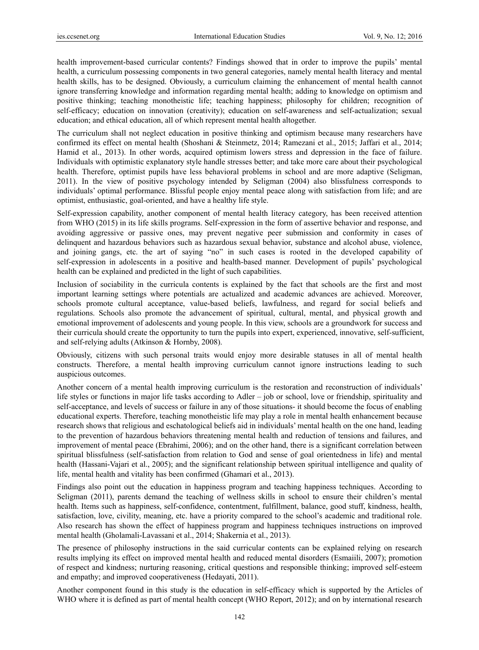health improvement-based curricular contents? Findings showed that in order to improve the pupils' mental health, a curriculum possessing components in two general categories, namely mental health literacy and mental health skills, has to be designed. Obviously, a curriculum claiming the enhancement of mental health cannot ignore transferring knowledge and information regarding mental health; adding to knowledge on optimism and positive thinking; teaching monotheistic life; teaching happiness; philosophy for children; recognition of self-efficacy; education on innovation (creativity); education on self-awareness and self-actualization; sexual education; and ethical education, all of which represent mental health altogether.

The curriculum shall not neglect education in positive thinking and optimism because many researchers have confirmed its effect on mental health (Shoshani & Steinmetz, 2014; Ramezani et al., 2015; Jaffari et al., 2014; Hamid et al., 2013). In other words, acquired optimism lowers stress and depression in the face of failure. Individuals with optimistic explanatory style handle stresses better; and take more care about their psychological health. Therefore, optimist pupils have less behavioral problems in school and are more adaptive (Seligman, 2011). In the view of positive psychology intended by Seligman (2004) also blissfulness corresponds to individuals' optimal performance. Blissful people enjoy mental peace along with satisfaction from life; and are optimist, enthusiastic, goal-oriented, and have a healthy life style.

Self-expression capability, another component of mental health literacy category, has been received attention from WHO (2015) in its life skills programs. Self-expression in the form of assertive behavior and response, and avoiding aggressive or passive ones, may prevent negative peer submission and conformity in cases of delinquent and hazardous behaviors such as hazardous sexual behavior, substance and alcohol abuse, violence, and joining gangs, etc. the art of saying "no" in such cases is rooted in the developed capability of self-expression in adolescents in a positive and health-based manner. Development of pupils' psychological health can be explained and predicted in the light of such capabilities.

Inclusion of sociability in the curricula contents is explained by the fact that schools are the first and most important learning settings where potentials are actualized and academic advances are achieved. Moreover, schools promote cultural acceptance, value-based beliefs, lawfulness, and regard for social beliefs and regulations. Schools also promote the advancement of spiritual, cultural, mental, and physical growth and emotional improvement of adolescents and young people. In this view, schools are a groundwork for success and their curricula should create the opportunity to turn the pupils into expert, experienced, innovative, self-sufficient, and self-relying adults (Atkinson & Hornby, 2008).

Obviously, citizens with such personal traits would enjoy more desirable statuses in all of mental health constructs. Therefore, a mental health improving curriculum cannot ignore instructions leading to such auspicious outcomes.

Another concern of a mental health improving curriculum is the restoration and reconstruction of individuals' life styles or functions in major life tasks according to Adler – job or school, love or friendship, spirituality and self-acceptance, and levels of success or failure in any of those situations- it should become the focus of enabling educational experts. Therefore, teaching monotheistic life may play a role in mental health enhancement because research shows that religious and eschatological beliefs aid in individuals' mental health on the one hand, leading to the prevention of hazardous behaviors threatening mental health and reduction of tensions and failures, and improvement of mental peace (Ebrahimi, 2006); and on the other hand, there is a significant correlation between spiritual blissfulness (self-satisfaction from relation to God and sense of goal orientedness in life) and mental health (Hassani-Vajari et al., 2005); and the significant relationship between spiritual intelligence and quality of life, mental health and vitality has been confirmed (Ghamari et al., 2013).

Findings also point out the education in happiness program and teaching happiness techniques. According to Seligman (2011), parents demand the teaching of wellness skills in school to ensure their children's mental health. Items such as happiness, self-confidence, contentment, fulfillment, balance, good stuff, kindness, health, satisfaction, love, civility, meaning, etc. have a priority compared to the school's academic and traditional role. Also research has shown the effect of happiness program and happiness techniques instructions on improved mental health (Gholamali-Lavassani et al., 2014; Shakernia et al., 2013).

The presence of philosophy instructions in the said curricular contents can be explained relying on research results implying its effect on improved mental health and reduced mental disorders (Esmaiili, 2007); promotion of respect and kindness; nurturing reasoning, critical questions and responsible thinking; improved self-esteem and empathy; and improved cooperativeness (Hedayati, 2011).

Another component found in this study is the education in self-efficacy which is supported by the Articles of WHO where it is defined as part of mental health concept (WHO Report, 2012); and on by international research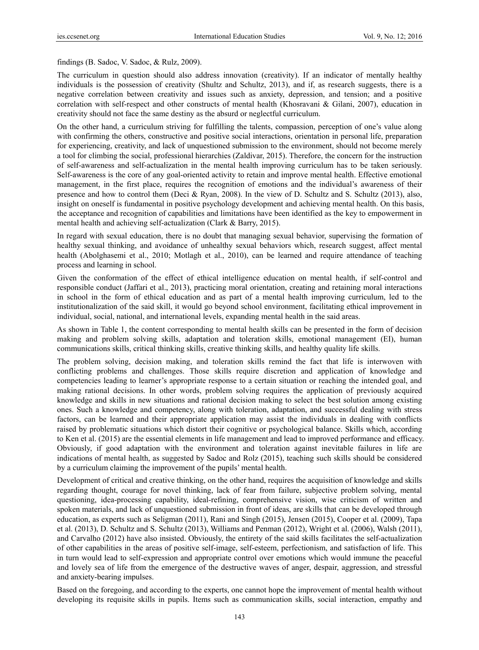findings (B. Sadoc, V. Sadoc, & Rulz, 2009).

The curriculum in question should also address innovation (creativity). If an indicator of mentally healthy individuals is the possession of creativity (Shultz and Schultz, 2013), and if, as research suggests, there is a negative correlation between creativity and issues such as anxiety, depression, and tension; and a positive correlation with self-respect and other constructs of mental health (Khosravani & Gilani, 2007), education in creativity should not face the same destiny as the absurd or neglectful curriculum.

On the other hand, a curriculum striving for fulfilling the talents, compassion, perception of one's value along with confirming the others, constructive and positive social interactions, orientation in personal life, preparation for experiencing, creativity, and lack of unquestioned submission to the environment, should not become merely a tool for climbing the social, professional hierarchies (Zaldivar, 2015). Therefore, the concern for the instruction of self-awareness and self-actualization in the mental health improving curriculum has to be taken seriously. Self-awareness is the core of any goal-oriented activity to retain and improve mental health. Effective emotional management, in the first place, requires the recognition of emotions and the individual's awareness of their presence and how to control them (Deci & Ryan, 2008). In the view of D. Schultz and S. Schultz (2013), also, insight on oneself is fundamental in positive psychology development and achieving mental health. On this basis, the acceptance and recognition of capabilities and limitations have been identified as the key to empowerment in mental health and achieving self-actualization (Clark & Barry, 2015).

In regard with sexual education, there is no doubt that managing sexual behavior, supervising the formation of healthy sexual thinking, and avoidance of unhealthy sexual behaviors which, research suggest, affect mental health (Abolghasemi et al., 2010; Motlagh et al., 2010), can be learned and require attendance of teaching process and learning in school.

Given the conformation of the effect of ethical intelligence education on mental health, if self-control and responsible conduct (Jaffari et al., 2013), practicing moral orientation, creating and retaining moral interactions in school in the form of ethical education and as part of a mental health improving curriculum, led to the institutionalization of the said skill, it would go beyond school environment, facilitating ethical improvement in individual, social, national, and international levels, expanding mental health in the said areas.

As shown in Table 1, the content corresponding to mental health skills can be presented in the form of decision making and problem solving skills, adaptation and toleration skills, emotional management (EI), human communications skills, critical thinking skills, creative thinking skills, and healthy quality life skills.

The problem solving, decision making, and toleration skills remind the fact that life is interwoven with conflicting problems and challenges. Those skills require discretion and application of knowledge and competencies leading to learner's appropriate response to a certain situation or reaching the intended goal, and making rational decisions. In other words, problem solving requires the application of previously acquired knowledge and skills in new situations and rational decision making to select the best solution among existing ones. Such a knowledge and competency, along with toleration, adaptation, and successful dealing with stress factors, can be learned and their appropriate application may assist the individuals in dealing with conflicts raised by problematic situations which distort their cognitive or psychological balance. Skills which, according to Ken et al. (2015) are the essential elements in life management and lead to improved performance and efficacy. Obviously, if good adaptation with the environment and toleration against inevitable failures in life are indications of mental health, as suggested by Sadoc and Rolz (2015), teaching such skills should be considered by a curriculum claiming the improvement of the pupils' mental health.

Development of critical and creative thinking, on the other hand, requires the acquisition of knowledge and skills regarding thought, courage for novel thinking, lack of fear from failure, subjective problem solving, mental questioning, idea-processing capability, ideal-refining, comprehensive vision, wise criticism of written and spoken materials, and lack of unquestioned submission in front of ideas, are skills that can be developed through education, as experts such as Seligman (2011), Rani and Singh (2015), Jensen (2015), Cooper et al. (2009), Tapa et al. (2013), D. Schultz and S. Schultz (2013), Williams and Penman (2012), Wright et al. (2006), Walsh (2011), and Carvalho (2012) have also insisted. Obviously, the entirety of the said skills facilitates the self-actualization of other capabilities in the areas of positive self-image, self-esteem, perfectionism, and satisfaction of life. This in turn would lead to self-expression and appropriate control over emotions which would immune the peaceful and lovely sea of life from the emergence of the destructive waves of anger, despair, aggression, and stressful and anxiety-bearing impulses.

Based on the foregoing, and according to the experts, one cannot hope the improvement of mental health without developing its requisite skills in pupils. Items such as communication skills, social interaction, empathy and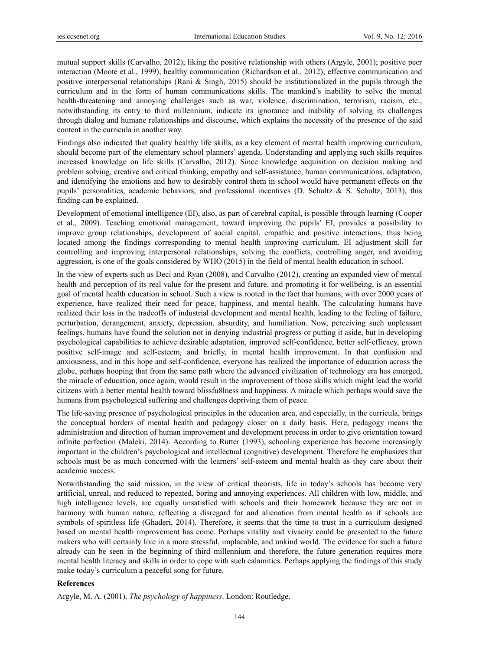mutual support skills (Carvalho, 2012); liking the positive relationship with others (Argyle, 2001); positive peer interaction (Moote et al., 1999); healthy communication (Richardson et al., 2012); effective communication and positive interpersonal relationships (Rani & Singh, 2015) should be institutionalized in the pupils through the curriculum and in the form of human communications skills. The mankind's inability to solve the mental health-threatening and annoying challenges such as war, violence, discrimination, terrorism, racism, etc., notwithstanding its entry to third millennium, indicate its ignorance and inability of solving its challenges through dialog and humane relationships and discourse, which explains the necessity of the presence of the said content in the curricula in another way.

Findings also indicated that quality healthy life skills, as a key element of mental health improving curriculum, should become part of the elementary school planners' agenda. Understanding and applying such skills requires increased knowledge on life skills (Carvalho, 2012). Since knowledge acquisition on decision making and problem solving, creative and critical thinking, empathy and self-assistance, human communications, adaptation, and identifying the emotions and how to desirably control them in school would have permanent effects on the pupils' personalities, academic behaviors, and professional incentives (D. Schultz & S. Schultz, 2013), this finding can be explained.

Development of emotional intelligence (EI), also, as part of cerebral capital, is possible through learning (Cooper et al., 2009). Teaching emotional management, toward improving the pupils' EI, provides a possibility to improve group relationships, development of social capital, empathic and positive interactions, thus being located among the findings corresponding to mental health improving curriculum. EI adjustment skill for controlling and improving interpersonal relationships, solving the conflicts, controlling anger, and avoiding aggression, is one of the goals considered by WHO (2015) in the field of mental health education in school.

In the view of experts such as Deci and Ryan (2008), and Carvalho (2012), creating an expanded view of mental health and perception of its real value for the present and future, and promoting it for wellbeing, is an essential goal of mental health education in school. Such a view is rooted in the fact that humans, with over 2000 years of experience, have realized their need for peace, happiness, and mental health. The calculating humans have realized their loss in the tradeoffs of industrial development and mental health, leading to the feeling of failure, perturbation, derangement, anxiety, depression, absurdity, and humiliation. Now, perceiving such unpleasant feelings, humans have found the solution not in denying industrial progress or putting it aside, but in developing psychological capabilities to achieve desirable adaptation, improved self-confidence, better self-efficacy, grown positive self-image and self-esteem, and briefly, in mental health improvement. In that confusion and anxiousness, and in this hope and self-confidence, everyone has realized the importance of education across the globe, perhaps hooping that from the same path where the advanced civilization of technology era has emerged, the miracle of education, once again, would result in the improvement of those skills which might lead the world citizens with a better mental health toward blissfu8lness and happiness. A miracle which perhaps would save the humans from psychological suffering and challenges depriving them of peace.

The life-saving presence of psychological principles in the education area, and especially, in the curricula, brings the conceptual borders of mental health and pedagogy closer on a daily basis. Here, pedagogy means the administration and direction of human improvement and development process in order to give orientation toward infinite perfection (Maleki, 2014). According to Rutter (1993), schooling experience has become increasingly important in the children's psychological and intellectual (cognitive) development. Therefore he emphasizes that schools must be as much concerned with the learners' self-esteem and mental health as they care about their academic success.

Notwithstanding the said mission, in the view of critical theorists, life in today's schools has become very artificial, unreal, and reduced to repeated, boring and annoying experiences. All children with low, middle, and high intelligence levels, are equally unsatisfied with schools and their homework because they are not in harmony with human nature, reflecting a disregard for and alienation from mental health as if schools are symbols of spiritless life (Ghaderi, 2014). Therefore, it seems that the time to trust in a curriculum designed based on mental health improvement has come. Perhaps vitality and vivacity could be presented to the future makers who will certainly live in a more stressful, implacable, and unkind world. The evidence for such a future already can be seen in the beginning of third millennium and therefore, the future generation requires more mental health literacy and skills in order to cope with such calamities. Perhaps applying the findings of this study make today's curriculum a peaceful song for future.

#### **References**

Argyle, M. A. (2001). *The psychology of happiness*. London: Routledge.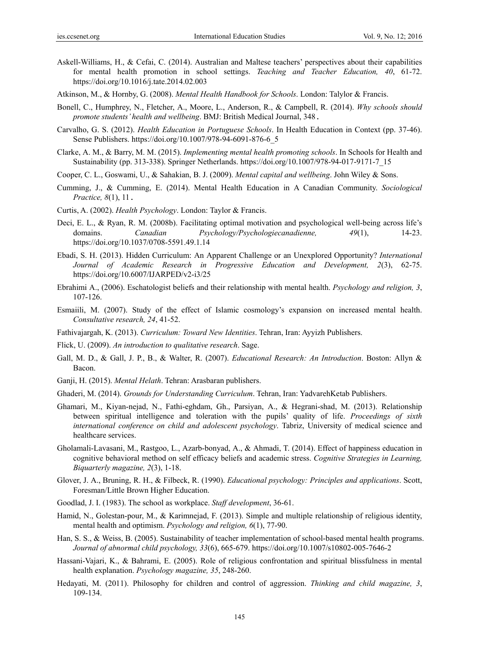- Askell-Williams, H., & Cefai, C. (2014). Australian and Maltese teachers' perspectives about their capabilities for mental health promotion in school settings. *Teaching and Teacher Education, 40*, 61-72. https://doi.org/10.1016/j.tate.2014.02.003
- Atkinson, M., & Hornby, G. (2008). *Mental Health Handbook for Schools*. London: Talylor & Francis.
- Bonell, C., Humphrey, N., Fletcher, A., Moore, L., Anderson, R., & Campbell, R. (2014). *Why schools should promote students' health and wellbeing*. BMJ: British Medical Journal, 348.
- Carvalho, G. S. (2012). *Health Education in Portuguese Schools*. In Health Education in Context (pp. 37-46). Sense Publishers. https://doi.org/10.1007/978-94-6091-876-6\_5
- Clarke, A. M., & Barry, M. M. (2015). *Implementing mental health promoting schools*. In Schools for Health and Sustainability (pp. 313-338). Springer Netherlands. https://doi.org/10.1007/978-94-017-9171-7\_15
- Cooper, C. L., Goswami, U., & Sahakian, B. J. (2009). *Mental capital and wellbeing*. John Wiley & Sons.
- Cumming, J., & Cumming, E. (2014). Mental Health Education in A Canadian Community. *Sociological Practice, 8*(1), 11.
- Curtis, A. (2002). *Health Psychology*. London: Taylor & Francis.
- Deci, E. L., & Ryan, R. M. (2008b). Facilitating optimal motivation and psychological well-being across life's domains. *Canadian Psychology/Psychologiecanadienne, 49*(1), 14-23. https://doi.org/10.1037/0708-5591.49.1.14
- Ebadi, S. H. (2013). Hidden Curriculum: An Apparent Challenge or an Unexplored Opportunity? *International Journal of Academic Research in Progressive Education and Development, 2*(3), 62-75. https://doi.org/10.6007/IJARPED/v2-i3/25
- Ebrahimi A., (2006). Eschatologist beliefs and their relationship with mental health. *Psychology and religion, 3*, 107-126.
- Esmaiili, M. (2007). Study of the effect of Islamic cosmology's expansion on increased mental health. *Consultative research, 24*, 41-52.
- Fathivajargah, K. (2013). *Curriculum: Toward New Identities*. Tehran, Iran: Ayyizh Publishers.
- Flick, U. (2009). *An introduction to qualitative research*. Sage.
- Gall, M. D., & Gall, J. P., B., & Walter, R. (2007). *Educational Research: An Introduction*. Boston: Allyn & Bacon.
- Ganji, H. (2015). *Mental Helath*. Tehran: Arasbaran publishers.
- Ghaderi, M. (2014). *Grounds for Understanding Curriculum*. Tehran, Iran: YadvarehKetab Publishers.
- Ghamari, M., Kiyan-nejad, N., Fathi-eghdam, Gh., Parsiyan, A., & Hegrani-shad, M. (2013). Relationship between spiritual intelligence and toleration with the pupils' quality of life. *Proceedings of sixth international conference on child and adolescent psychology*. Tabriz, University of medical science and healthcare services.
- Gholamali-Lavasani, M., Rastgoo, L., Azarb-bonyad, A., & Ahmadi, T. (2014). Effect of happiness education in cognitive behavioral method on self efficacy beliefs and academic stress. *Cognitive Strategies in Learning, Biquarterly magazine, 2*(3), 1-18.
- Glover, J. A., Bruning, R. H., & Filbeck, R. (1990). *Educational psychology: Principles and applications*. Scott, Foresman/Little Brown Higher Education.
- Goodlad, J. I. (1983). The school as workplace. *Staff development*, 36-61.
- Hamid, N., Golestan-pour, M., & Karimnejad, F. (2013). Simple and multiple relationship of religious identity, mental health and optimism. *Psychology and religion, 6*(1), 77-90.
- Han, S. S., & Weiss, B. (2005). Sustainability of teacher implementation of school-based mental health programs. *Journal of abnormal child psychology, 33*(6), 665-679. https://doi.org/10.1007/s10802-005-7646-2
- Hassani-Vajari, K., & Bahrami, E. (2005). Role of religious confrontation and spiritual blissfulness in mental health explanation. *Psychology magazine, 35*, 248-260.
- Hedayati, M. (2011). Philosophy for children and control of aggression. *Thinking and child magazine, 3*, 109-134.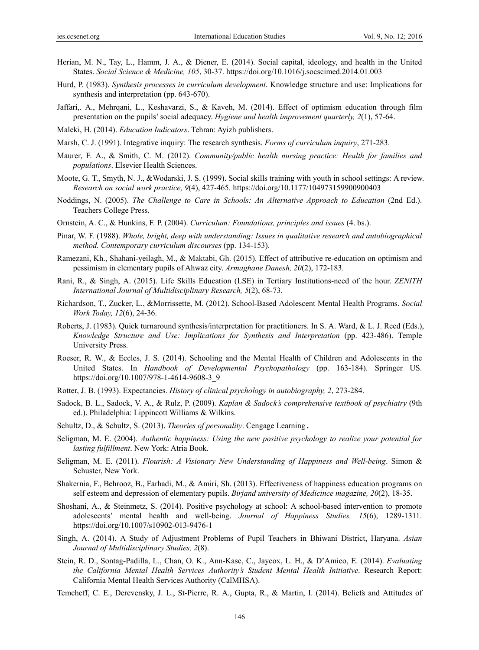- Herian, M. N., Tay, L., Hamm, J. A., & Diener, E. (2014). Social capital, ideology, and health in the United States. *Social Science & Medicine, 105*, 30-37. https://doi.org/10.1016/j.socscimed.2014.01.003
- Hurd, P. (1983). *Synthesis processes in curriculum development*. Knowledge structure and use: Implications for synthesis and interpretation (pp. 643-670).
- Jaffari,. A., Mehrqani, L., Keshavarzi, S., & Kaveh, M. (2014). Effect of optimism education through film presentation on the pupils' social adequacy. *Hygiene and health improvement quarterly, 2*(1), 57-64.
- Maleki, H. (2014). *Education Indicators*. Tehran: Ayizh publishers.
- Marsh, C. J. (1991). Integrative inquiry: The research synthesis. *Forms of curriculum inquiry*, 271-283.
- Maurer, F. A., & Smith, C. M. (2012). *Community/public health nursing practice: Health for families and populations*. Elsevier Health Sciences.
- Moote, G. T., Smyth, N. J., &Wodarski, J. S. (1999). Social skills training with youth in school settings: A review. *Research on social work practice, 9*(4), 427-465. https://doi.org/10.1177/104973159900900403
- Noddings, N. (2005). *The Challenge to Care in Schools: An Alternative Approach to Education* (2nd Ed.). Teachers College Press.
- Ornstein, A. C., & Hunkins, F. P. (2004). *Curriculum: Foundations, principles and issues* (4. bs.).
- Pinar, W. F. (1988). *Whole, bright, deep with understanding: Issues in qualitative research and autobiographical method. Contemporary curriculum discourses* (pp. 134-153).
- Ramezani, Kh., Shahani-yeilagh, M., & Maktabi, Gh. (2015). Effect of attributive re-education on optimism and pessimism in elementary pupils of Ahwaz city. *Armaghane Danesh, 20*(2), 172-183.
- Rani, R., & Singh, A. (2015). Life Skills Education (LSE) in Tertiary Institutions-need of the hour. *ZENITH International Journal of Multidisciplinary Research, 5*(2), 68-73.
- Richardson, T., Zucker, L., &Morrissette, M. (2012). School-Based Adolescent Mental Health Programs. *Social Work Today, 12*(6), 24-36.
- Roberts, J. (1983). Quick turnaround synthesis/interpretation for practitioners. In S. A. Ward, & L. J. Reed (Eds.), *Knowledge Structure and Use: Implications for Synthesis and Interpretation* (pp. 423-486). Temple University Press.
- Roeser, R. W., & Eccles, J. S. (2014). Schooling and the Mental Health of Children and Adolescents in the United States. In *Handbook of Developmental Psychopathology* (pp. 163-184). Springer US. https://doi.org/10.1007/978-1-4614-9608-3\_9
- Rotter, J. B. (1993). Expectancies. *History of clinical psychology in autobiography, 2*, 273-284.
- Sadock, B. L., Sadock, V. A., & Rulz, P. (2009). *Kaplan & Sadock's comprehensive textbook of psychiatry* (9th ed.). Philadelphia: Lippincott Williams & Wilkins.
- Schultz, D., & Schultz, S. (2013). *Theories of personality*. Cengage Learning.
- Seligman, M. E. (2004). *Authentic happiness: Using the new positive psychology to realize your potential for lasting fulfillment*. New York: Atria Book.
- Seligman, M. E. (2011). *Flourish: A Visionary New Understanding of Happiness and Well-being*. Simon & Schuster, New York.
- Shakernia, F., Behrooz, B., Farhadi, M., & Amiri, Sh. (2013). Effectiveness of happiness education programs on self esteem and depression of elementary pupils. *Birjand university of Medicince magazine, 20*(2), 18-35.
- Shoshani, A., & Steinmetz, S. (2014). Positive psychology at school: A school-based intervention to promote adolescents' mental health and well-being. *Journal of Happiness Studies, 15*(6), 1289-1311. https://doi.org/10.1007/s10902-013-9476-1
- Singh, A. (2014). A Study of Adjustment Problems of Pupil Teachers in Bhiwani District, Haryana. *Asian Journal of Multidisciplinary Studies, 2*(8).
- Stein, R. D., Sontag-Padilla, L., Chan, O. K., Ann-Kase, C., Jaycox, L. H., & D'Amico, E. (2014). *Evaluating the California Mental Health Services Authority's Student Mental Health Initiative*. Research Report: California Mental Health Services Authority (CalMHSA).
- Temcheff, C. E., Derevensky, J. L., St-Pierre, R. A., Gupta, R., & Martin, I. (2014). Beliefs and Attitudes of